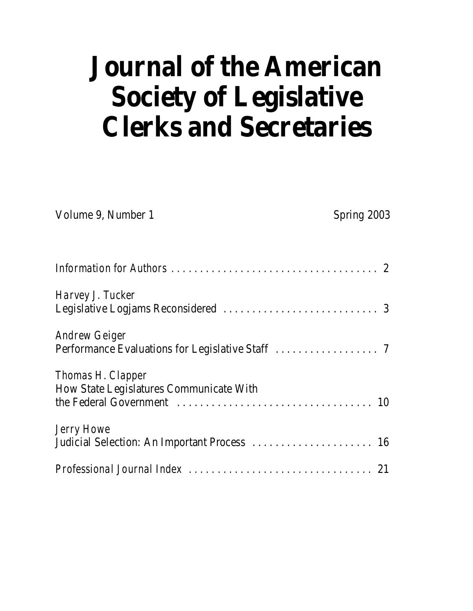# **Journal of the American Society of Legislative Clerks and Secretaries**

| Volume 9, Number 1                             | Spring 2003 |
|------------------------------------------------|-------------|
|                                                |             |
| Harvey J. Tucker                               |             |
|                                                |             |
| <b>Andrew Geiger</b>                           |             |
|                                                |             |
| <b>Thomas H. Clapper</b>                       |             |
| <b>How State Legislatures Communicate With</b> |             |
|                                                |             |
| <b>Jerry Howe</b>                              |             |
| Judicial Selection: An Important Process  16   |             |
|                                                |             |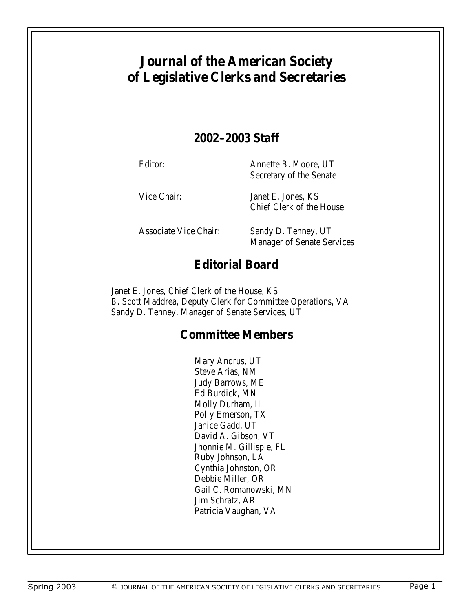# **Journal of the American Society of Legislative Clerks and Secretaries**

### **2002-2003 Staff**

Editor: Annette B. Moore, UT Secretary of the Senate

Vice Chair: Janet E. Jones, KS Chief Clerk of the House

Associate Vice Chair: Sandy D. Tenney, UT Manager of Senate Services

# **Editorial Board**

Janet E. Jones, Chief Clerk of the House, KS B. Scott Maddrea, Deputy Clerk for Committee Operations, VA Sandy D. Tenney, Manager of Senate Services, UT

## **Committee Members**

Mary Andrus, UT Steve Arias, NM Judy Barrows, ME Ed Burdick, MN Molly Durham, IL Polly Emerson, TX Janice Gadd, UT David A. Gibson, VT Jhonnie M. Gillispie, FL Ruby Johnson, LA Cynthia Johnston, OR Debbie Miller, OR Gail C. Romanowski, MN Jim Schratz, AR Patricia Vaughan, VA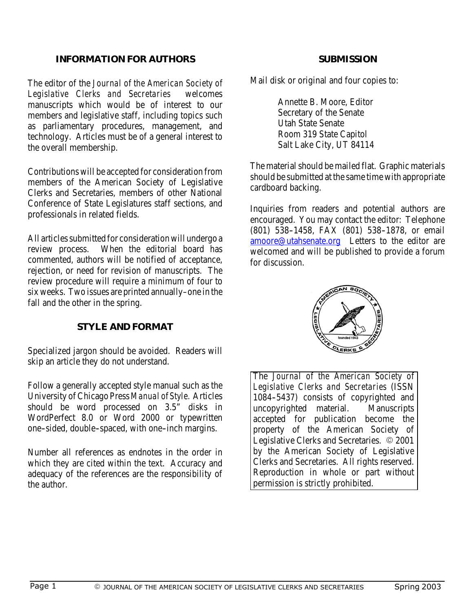### **INFORMATION FOR AUTHORS**

The editor of the *Journal of the American Society of Legislative Clerks and Secretaries* welcomes manuscripts which would be of interest to our members and legislative staff, including topics such as parliamentary procedures, management, and technology. Articles must be of a general interest to the overall membership.

Contributions will be accepted for consideration from members of the American Society of Legislative Clerks and Secretaries, members of other National Conference of State Legislatures staff sections, and professionals in related fields.

All articles submitted for consideration will undergo a review process. When the editorial board has commented, authors will be notified of acceptance, rejection, or need for revision of manuscripts. The review procedure will require a minimum of four to six weeks. Two issues are printed annually–one in the fall and the other in the spring.

### **STYLE AND FORMAT**

Specialized jargon should be avoided. Readers will skip an article they do not understand.

Follow a generally accepted style manual such as the University of Chicago Press *Manual of Style.* Articles should be word processed on 3.5" disks in WordPerfect 8.0 or Word 2000 or typewritten one-sided, double-spaced, with one-inch margins.

Number all references as endnotes in the order in which they are cited within the text. Accuracy and adequacy of the references are the responsibility of the author.

#### **SUBMISSION**

Mail disk or original and four copies to:

Annette B. Moore, Editor Secretary of the Senate Utah State Senate Room 319 State Capitol Salt Lake City, UT 84114

The material should be mailed flat. Graphic materials should be submitted at the same time with appropriate cardboard backing.

Inquiries from readers and potential authors are encouraged. You may contact the editor: Telephone (801) 538--1458, FAX (801) 538--1878, or email amoore@utahsenate.org Letters to the editor are welcomed and will be published to provide a forum for discussion.



The *Journal of the American Society of Legislative Clerks and Secretaries* (ISSN 1084-5437) consists of copyrighted and uncopyrighted material. Manuscripts accepted for publication become the property of the American Society of Legislative Clerks and Secretaries. © 2001 by the American Society of Legislative Clerks and Secretaries. All rights reserved. Reproduction in whole or part without permission is strictly prohibited.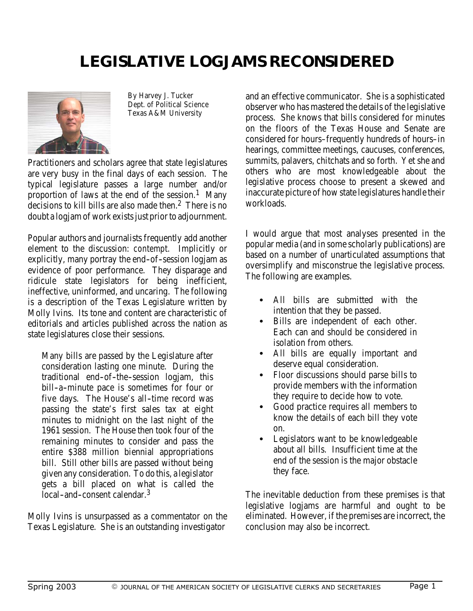# **LEGISLATIVE LOGJAMS RECONSIDERED**



By Harvey J. Tucker Dept. of Political Science Texas A&M University

Practitioners and scholars agree that state legislatures are very busy in the final days of each session. The typical legislature passes a large number and/or proportion of laws at the end of the session.<sup>1</sup> Many decisions to kill bills are also made then.<sup>2</sup> There is no doubt a logjam of work exists just prior to adjournment.

Popular authors and journalists frequently add another element to the discussion: *contempt*. Implicitly or explicitly, many portray the end-of-session logiam as evidence of poor performance. They disparage and ridicule state legislators for being inefficient, ineffective, uninformed, and uncaring. The following is a description of the Texas Legislature written by Molly Ivins. Its tone and content are characteristic of editorials and articles published across the nation as state legislatures close their sessions.

Many bills are passed by the Legislature after consideration lasting one minute. During the traditional end-of-the-session logjam, this bill-a-minute pace is sometimes for four or five days. The House's all-time record was passing the state's first sales tax at eight minutes to midnight on the last night of the 1961 session. The House then took four of the remaining minutes to consider and pass the entire \$388 million biennial appropriations bill. Still other bills are passed without being given any consideration. To do this, alegislator gets a bill placed on what is called the local-and-consent calendar.<sup>3</sup>

Molly Ivins is unsurpassed as a commentator on the Texas Legislature. She is an outstanding investigator

and an effective communicator. She is a sophisticated observer who has mastered the details of the legislative process. She knows that bills considered for minutes on the floors of the Texas House and Senate are considered for hours–frequently hundreds of hours–in hearings, committee meetings, caucuses, conferences, summits, palavers, chitchats and so forth. Yet she and others who are most knowledgeable about the legislative process choose to present a skewed and inaccurate picture of how state legislatures handle their workloads.

I would argue that most analyses presented in the popular media (and in some scholarly publications) are based on a number of unarticulated assumptions that oversimplify and misconstrue the legislative process. The following are examples.

- All bills are submitted with the intention that they be passed.
- Bills are independent of each other. Each can and should be considered in isolation from others.
- All bills are equally important and deserve equal consideration.
- Floor discussions should parse bills to provide members with the information they require to decide how to vote.
- Good practice requires all members to know the details of each bill they vote on.
- Legislators want to be knowledgeable about all bills. Insufficient time at the end of the session is the major obstacle they face.

The inevitable deduction from these premises is that legislative logjams are harmful and ought to be eliminated. However, if the premises are incorrect, the conclusion may also be incorrect.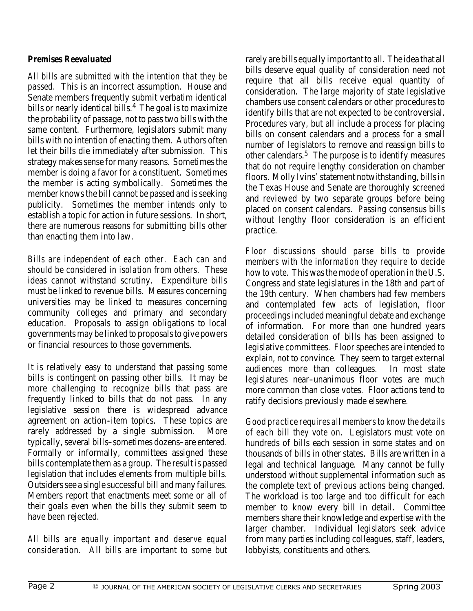### *Premises Reevaluated*

*All bills are submitted with the intention that they be passed.* This is an incorrect assumption. House and Senate members frequently submit verbatim identical bills or nearly identical bills.<sup>4</sup> The goal is to maximize the probability of passage, not to pass two bills with the same content. Furthermore, legislators submit many bills with no intention of enacting them. Authors often let their bills die immediately after submission. This strategy makes sense for many reasons. Sometimes the member is doing a favor for a constituent. Sometimes the member is acting symbolically. Sometimes the member knows the bill cannot be passed and is seeking publicity. Sometimes the member intends only to establish a topic for action in future sessions. In short, there are numerous reasons for submitting bills other than enacting them into law.

*Bills are independent of each other. Each can and should be considered in isolation from others.* These ideas cannot withstand scrutiny. Expenditure bills must be linked to revenue bills. Measures concerning universities may be linked to measures concerning community colleges and primary and secondary education. Proposals to assign obligations to local governments may be linked to proposalsto give powers or financial resources to those governments.

It is relatively easy to understand that passing some bills is contingent on passing other bills. It may be more challenging to recognize bills that pass are frequently linked to bills that do not pass. In any legislative session there is widespread advance agreement on action--item topics. These topics are rarely addressed by a single submission. More typically, several bills–sometimes dozens–are entered. Formally or informally, committees assigned these bills contemplate them as a group. The result is passed legislation that includes elements from multiple bills. Outsiders see a single successful bill and many failures. Members report that enactments meet some or all of their goals even when the bills they submit seem to have been rejected.

*All bills are equally important and deserve equal consideration.* All bills are important to some but

rarely are bills equally important to all. The idea that all bills deserve equal quality of consideration need not require that all bills receive equal quantity of consideration. The large majority of state legislative chambers use consent calendars or other procedures to identify bills that are not expected to be controversial. Procedures vary, but all include a process for placing bills on consent calendars and a process for a small number of legislators to remove and reassign bills to other calendars.<sup>5</sup> The purpose is to identify measures that do not require lengthy consideration on chamber floors. Molly Ivins' statement notwithstanding, bills in the Texas House and Senate are thoroughly screened and reviewed by two separate groups before being placed on consent calendars. Passing consensus bills without lengthy floor consideration is an efficient practice.

*Floor discussions should parse bills to provide members with the information they require to decide how to vote.* This was the mode of operation in the U.S. Congress and state legislatures in the 18th and part of the 19th century. When chambers had few members and contemplated few acts of legislation, floor proceedings included meaningful debate and exchange of information. For more than one hundred years detailed consideration of bills has been assigned to legislative committees. Floor speeches are intended to explain, not to convince. They seem to target external audiences more than colleagues. In most state legislatures near--unanimous floor votes are much more common than close votes. Floor actions tend to ratify decisions previously made elsewhere.

*Good practice requires all members to know the details of each bill they vote on.* Legislators must vote on hundreds of bills each session in some states and on thousands of bills in other states. Bills are written in a legal and technical language. Many cannot be fully understood without supplemental information such as the complete text of previous actions being changed. The workload is too large and too difficult for each member to know every bill in detail. Committee members share their knowledge and expertise with the larger chamber. Individual legislators seek advice from many parties including colleagues, staff, leaders, lobbyists, constituents and others.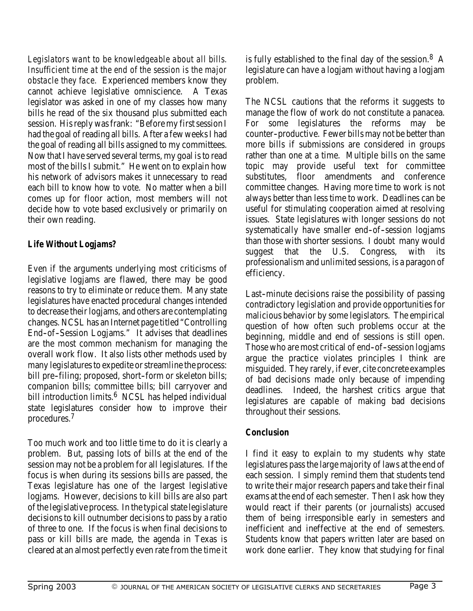*Legislators want to be knowledgeable about all bills. Insufficient time at the end of the session is the major obstacle they face.* Experienced members know they cannot achieve legislative omniscience. A Texas legislator was asked in one of my classes how many bills he read of the six thousand plus submitted each session. His reply was frank: "Before my first session I had the goal of reading all bills. After a few weeks I had the goal of reading all bills assigned to my committees. Now that I have served several terms, my goal is to read most of the bills I submit." He went on to explain how his network of advisors makes it unnecessary to read each bill to know how to vote. No matter when a bill comes up for floor action, most members will not decide how to vote based exclusively or primarily on their own reading.

### *Life Without Logjams?*

Even if the arguments underlying most criticisms of legislative logjams are flawed, there may be good reasons to try to eliminate or reduce them. Many state legislatures have enacted procedural changes intended to decrease their logjams, and others are contemplating changes. NCSL has an Internet page titled "Controlling End-of-Session Logjams." It advises that deadlines are the most common mechanism for managing the overall work flow. It also lists other methods used by many legislatures to expedite or streamline the process: bill pre-filing; proposed, short-form or skeleton bills; companion bills; committee bills; bill carryover and bill introduction limits.<sup>6</sup> NCSL has helped individual state legislatures consider how to improve their procedures.7

Too much work and too little time to do it is clearly a problem. But, passing lots of bills at the end of the session may not be a problem for all legislatures. If the focus is when during its sessions bills are passed, the Texas legislature has one of the largest legislative logjams. However, decisions to kill bills are also part of the legislative process. In thetypical statelegislature decisions to kill outnumber decisions to pass by a ratio of three to one. If the focus is when final decisions to pass or kill bills are made, the agenda in Texas is cleared at an almost perfectly even rate from the time it is fully established to the final day of the session.8 A legislature can have a logjam without having a logjam problem.

The NCSL cautions that the reforms it suggests to manage the flow of work do not constitute a panacea. For some legislatures the reforms may be counter--productive. Fewer bills may not be better than more bills if submissions are considered in groups rather than one at a time. Multiple bills on the same topic may provide useful text for committee substitutes, floor amendments and conference committee changes. Having more time to work is not always better than less time to work. Deadlines can be useful for stimulating cooperation aimed at resolving issues. State legislatures with longer sessions do not systematically have smaller end-of-session logjams than those with shorter sessions. I doubt many would suggest that the U.S. Congress, with its professionalism and unlimited sessions, is a paragon of efficiency.

Last--minute decisions raise the possibility of passing contradictory legislation and provide opportunities for malicious behavior by some legislators. The empirical question of how often such problems occur at the beginning, middle and end of sessions is still open. Those who are most critical of end-of-session logiams argue the practice violates principles I think are misguided. They rarely, if ever, cite concrete examples of bad decisions made only because of impending deadlines. Indeed, the harshest critics argue that legislatures are capable of making bad decisions throughout their sessions.

### *Conclusion*

I find it easy to explain to my students why state legislatures pass the large majority of laws at the end of each session. I simply remind them that students tend to write their major research papers and take their final exams at the end of each semester. Then I ask how they would react if their parents (or journalists) accused them of being irresponsible early in semesters and inefficient and ineffective at the end of semesters. Students know that papers written later are based on work done earlier. They know that studying for final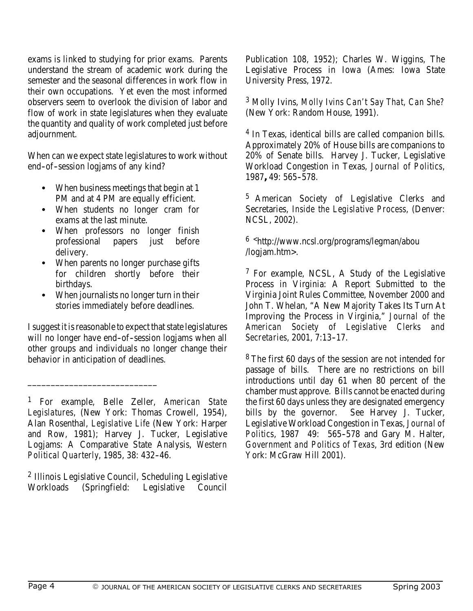exams is linked to studying for prior exams. Parents understand the stream of academic work during the semester and the seasonal differences in work flow in their own occupations. Yet even the most informed observers seem to overlook the division of labor and flow of work in state legislatures when they evaluate the quantity and quality of work completed just before adjournment.

When can we expect state legislatures to work without end-of-session logjams of any kind?

- When business meetings that begin at 1 PM and at 4 PM are equally efficient.
- When students no longer cram for exams at the last minute.
- When professors no longer finish professional papers just before delivery.
- When parents no longer purchase gifts for children shortly before their birthdays.
- When journalists no longer turn in their stories immediately before deadlines.

I suggest it is reasonable to expect that state legislatures will no longer have end-of-session logjams when all other groups and individuals no longer change their behavior in anticipation of deadlines.

\_\_\_\_\_\_\_\_\_\_\_\_\_\_\_\_\_\_\_\_\_\_\_\_\_\_\_\_

2 Illinois Legislative Council, Scheduling Legislative Workloads (Springfield: Legislative Council Publication 108, 1952); Charles W. Wiggins, The Legislative Process in Iowa (Ames: Iowa State University Press, 1972.

<sup>3</sup> Molly Ivins, *Molly Ivins Can't Say That, Can She?* (New York: Random House, 1991).

4 In Texas, identical bills are called companion bills. Approximately 20% of House bills are companions to 20% of Senate bills. Harvey J. Tucker, Legislative Workload Congestion in Texas, *Journal of Politics*, 1987**,** 49: 565--578.

5 American Society of Legislative Clerks and Secretaries, *Inside the Legislative Process*, (Denver: NCSL, 2002).

6 <http://www.ncsl.org/programs/legman/abou /logjam.htm>.

7 For example, NCSL, A Study of the Legislative Process in Virginia: A Report Submitted to the Virginia Joint Rules Committee, November 2000 and John T. Whelan, "A New Majority Takes Its Turn At Improving the Process in Virginia," *Journal of the American Society of Legislative Clerks and Secretaries*, 2001, 7:13-17.

8 The first 60 days of the session are not intended for passage of bills. There are no restrictions on bill introductions until day 61 when 80 percent of the chamber must approve. Bills cannot be enacted during the first 60 days unless they are designated emergency<br>bills by the governor. See Harvey J. Tucker, bills by the governor. Legislative Workload Congestion in Texas, *Journal of Politics*, 1987 49: 565-578 and Gary M. Halter, *Government and Politics of Texas*, 3rd edition (New York: McGraw Hill 2001).

<sup>1</sup> For example, Belle Zeller, *American State Legislatures*, (New York: Thomas Crowell, 1954), Alan Rosenthal, *Legislative Life* (New York: Harper and Row, 1981); Harvey J. Tucker, Legislative Logjams: A Comparative State Analysis, *Western Political Quarterly*, 1985, 38: 432--46.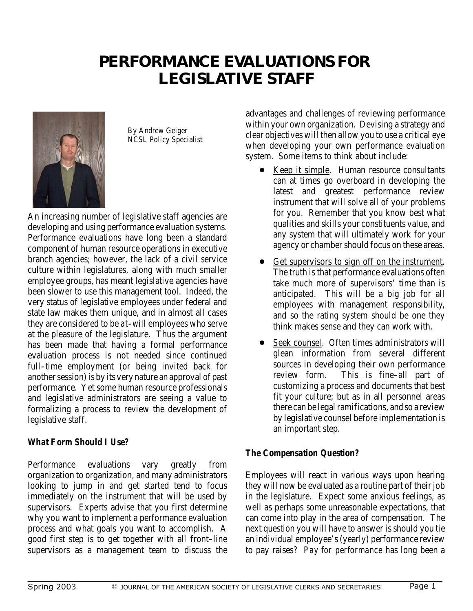# **PERFORMANCE EVALUATIONS FOR LEGISLATIVE STAFF**



By Andrew Geiger NCSL Policy Specialist

An increasing number of legislative staff agencies are developing and using performance evaluation systems. Performance evaluations have long been a standard component of human resource operations in executive branch agencies; however, the lack of a civil service culture within legislatures, along with much smaller employee groups, has meant legislative agencies have been slower to use this management tool. Indeed, the very status of legislative employees under federal and state law makes them unique, and in almost all cases they are considered to be *at--will* employees who serve at the pleasure of the legislature. Thus the argument has been made that having a formal performance evaluation process is not needed since continued full-time employment (or being invited back for another session) is by its very nature an approval of past performance. Yet some human resource professionals and legislative administrators are seeing a value to formalizing a process to review the development of legislative staff.

### *What Form Should I Use?*

Performance evaluations vary greatly from organization to organization, and many administrators looking to jump in and get started tend to focus immediately on the instrument that will be used by supervisors. Experts advise that you first determine why you want to implement a performance evaluation process and what goals you want to accomplish. A good first step is to get together with all front-line supervisors as a management team to discuss the

advantages and challenges of reviewing performance within your own organization. Devising a strategy and clear objectives will then allow you to use a critical eye when developing your own performance evaluation system. Some items to think about include:

- **Example.** Human resource consultants can at times go overboard in developing the latest and greatest performance review instrument that will solve all of your problems for you. Remember that you know best what qualities and skills your constituents value, and any system that will ultimately work for your agency or chamber should focus on these areas.
- Get supervisors to sign off on the instrument. The truth is that performance evaluations often take much more of supervisors' time than is anticipated. This will be a big job for all employees with management responsibility, and so the rating system should be one they think makes sense and they can work with.
- Seek counsel. Often times administrators will glean information from several different sources in developing their own performance review form. This is fine–all part of customizing a process and documents that best fit your culture; but as in all personnel areas there can be legal ramifications, and so a review by legislative counsel before implementation is an important step.

### *The Compensation Question?*

Employees will react in various ways upon hearing they will now be evaluated as a routine part of their job in the legislature. Expect some anxious feelings, as well as perhaps some unreasonable expectations, that can come into play in the area of compensation. The next question you will have to answer is should you tie an individual employee's (yearly) performance review to pay raises? *Pay for performance* has long been a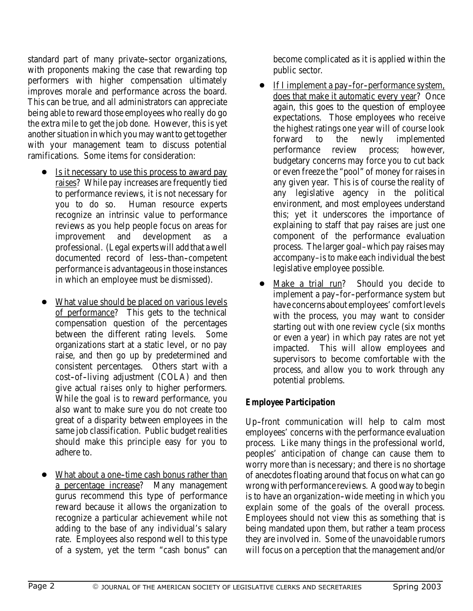standard part of many private-sector organizations, with proponents making the case that rewarding top performers with higher compensation ultimately improves morale and performance across the board. This can be true, and all administrators can appreciate being able to reward those employees who really do go the extra mile to get the job done. However, this is yet another situation in which you may want to get together with your management team to discuss potential ramifications. Some items for consideration:

- Is it necessary to use this process to award pay raises? While pay increases are frequently tied to performance reviews, it is not necessary for you to do so. Human resource experts recognize an intrinsic value to performance reviews as you help people focus on areas for<br>improvement and development as a and development as professional. (Legal experts will add that a well documented record of less-than-competent performance is advantageous in those instances in which an employee must be dismissed).
- What value should be placed on various levels of performance? This gets to the technical compensation question of the percentages between the different rating levels. Some organizations start at a static level, or no pay raise, and then go up by predetermined and consistent percentages. Others start with a cost-of-living adjustment (COLA) and then give actual *raises* only to higher performers. While the goal is to reward performance, you also want to make sure you do not create too great of a disparity between employees in the same job classification. Public budget realities should make this principle easy for you to adhere to.
- What about a one-time cash bonus rather than a percentage increase? Many management gurus recommend this type of performance reward because it allows the organization to recognize a particular achievement while not adding to the base of any individual's salary rate. Employees also respond well to this type of a system, yet the term "cash bonus" can

become complicated as it is applied within the public sector.

- If I implement a pay-for-performance system, does that make it automatic every year? Once again, this goes to the question of employee expectations. Those employees who receive the highest ratings one year will of course look forward to the newly implemented performance review process; however, budgetary concerns may force you to cut back or even freeze the "pool" of money for raises in any given year. This is of course the reality of any legislative agency in the political environment, and most employees understand this; yet it underscores the importance of explaining to staff that pay raises are just one component of the performance evaluation process. The larger goal–which pay raises may accompany–is to make each individual the best legislative employee possible.
- Make a trial run? Should you decide to implement a pay-for-performance system but have concerns about employees' comfort levels with the process, you may want to consider starting out with one review cycle (six months or even a year) in which pay rates are not yet impacted. This will allow employees and supervisors to become comfortable with the process, and allow you to work through any potential problems.

### *Employee Participation*

Up--front communication will help to calm most employees' concerns with the performance evaluation process. Like many things in the professional world, peoples' anticipation of change can cause them to worry more than is necessary; and there is no shortage of anecdotes floating around that focus on what can go wrong with performance reviews. A good way to begin is to have an organization-wide meeting in which you explain some of the goals of the overall process. Employees should not view this as something that is being mandated upon them, but rather a team process they are involved in. Some of the unavoidable rumors will focus on a perception that the management and/or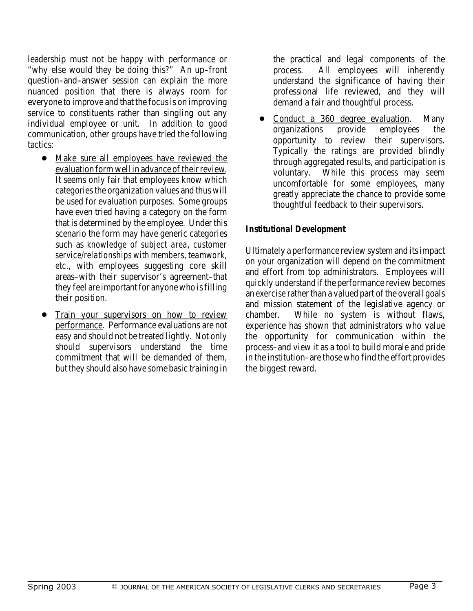leadership must not be happy with performance or "why else would they be doing this?" An up-front question--and--answer session can explain the more nuanced position that there is always room for everyone to improve and that the focus is on improving service to constituents rather than singling out any individual employee or unit. In addition to good communication, other groups have tried the following tactics:

- Make sure all employees have reviewed the evaluation form well in advance of their review. It seems only fair that employees know which categories the organization values and thus will be used for evaluation purposes. Some groups have even tried having a category on the form that is determined by the employee. Under this scenario the form may have generic categories such as *knowledge of subject area, customer service/relationships with members, teamwork, etc.,* with employees suggesting core skill areas–with their supervisor's agreement–that they feel are important for anyone who is filling their position.
- Train your supervisors on how to review performance. Performance evaluations are not easy and should not be treated lightly. Not only should supervisors understand the time commitment that will be demanded of them, but they should also have some basic training in

the practical and legal components of the process. All employees will inherently understand the significance of having their professional life reviewed, and they will demand a fair and thoughtful process.

• Conduct a 360 degree evaluation. Many organizations provide employees the opportunity to review their supervisors. Typically the ratings are provided blindly through aggregated results, and participation is voluntary. While this process may seem uncomfortable for some employees, many greatly appreciate the chance to provide some thoughtful feedback to their supervisors.

### *Institutional Development*

Ultimately a performance review system and its impact on your organization will depend on the commitment and effort from top administrators. Employees will quickly understand if the performance review becomes an *exercise* rather than a valued part of the overall goals and mission statement of the legislative agency or chamber. While no system is without flaws, experience has shown that administrators who value the opportunity for communication within the process–and view it as a tool to build morale and pride in the institution–are those who find the effort provides the biggest reward.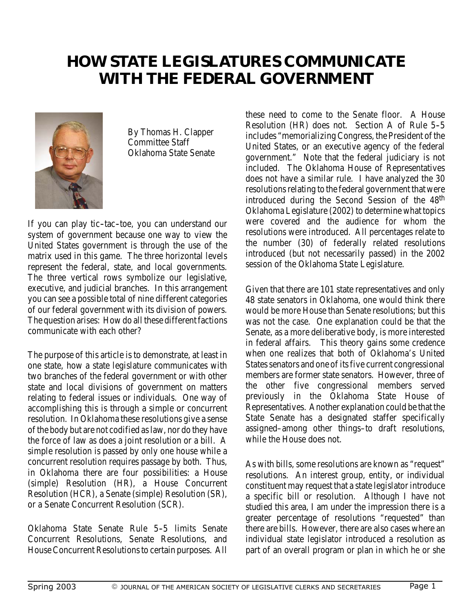# **HOW STATE LEGISLATURES COMMUNICATE WITH THE FEDERAL GOVERNMENT**



By Thomas H. Clapper Committee Staff Oklahoma State Senate

If you can play tic-tac-toe, you can understand our system of government because one way to view the United States government is through the use of the matrix used in this game. The three horizontal levels represent the federal, state, and local governments. The three vertical rows symbolize our legislative, executive, and judicial branches. In this arrangement you can see a possible total of nine different categories of our federal government with its division of powers. The question arises: How do all these different factions communicate with each other?

The purpose of this article is to demonstrate, at least in one state, how a state legislature communicates with two branches of the federal government or with other state and local divisions of government on matters relating to federal issues or individuals. One way of accomplishing this is through a simple or concurrent resolution. In Oklahoma these resolutions give a sense of the body but are not codified as law, nor do they have the force of law as does a joint resolution or a bill. A simple resolution is passed by only one house while a concurrent resolution requires passage by both. Thus, in Oklahoma there are four possibilities: a House (simple) Resolution (HR), a House Concurrent Resolution (HCR), a Senate (simple) Resolution (SR), or a Senate Concurrent Resolution (SCR).

Oklahoma State Senate Rule 5-5 limits Senate Concurrent Resolutions, Senate Resolutions, and House Concurrent Resolutions to certain purposes. All

these need to come to the Senate floor. A House Resolution (HR) does not. Section A of Rule 5-5 includes "memorializing Congress, the President of the United States, or an executive agency of the federal government." Note that the federal judiciary is not included. The Oklahoma House of Representatives does not have a similar rule. I have analyzed the 30 resolutions relating to the federal government that were introduced during the Second Session of the 48th Oklahoma Legislature (2002) to determine what topics were covered and the audience for whom the resolutions were introduced. All percentages relate to the number (30) of federally related resolutions introduced (but not necessarily passed) in the 2002 session of the Oklahoma State Legislature.

Given that there are 101 state representatives and only 48 state senators in Oklahoma, one would think there would be more House than Senate resolutions; but this was not the case. One explanation could be that the Senate, as a more deliberative body, is more interested in federal affairs. This theory gains some credence when one realizes that both of Oklahoma's United States senators and one of its five current congressional members are former state senators. However, three of the other five congressional members served previously in the Oklahoma State House of Representatives. Another explanation could be that the State Senate has a designated staffer specifically assigned–among other things–to draft resolutions, while the House does not.

As with bills, some resolutions are known as "request" resolutions. An interest group, entity, or individual constituent may request that a state legislator introduce a specific bill or resolution. Although I have not studied this area, I am under the impression there is a greater percentage of resolutions "requested" than there are bills. However, there are also cases where an individual state legislator introduced a resolution as part of an overall program or plan in which he or she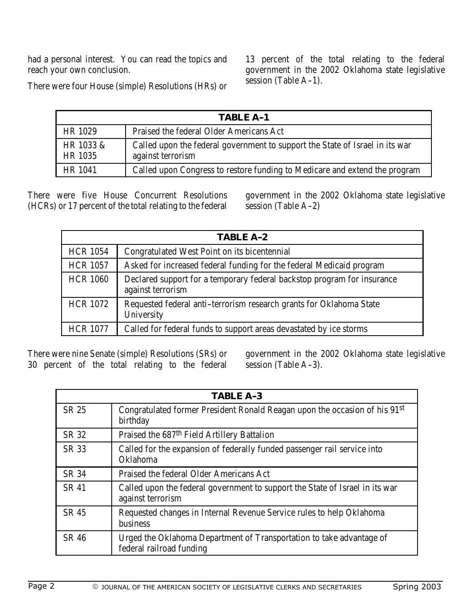had a personal interest. You can read the topics and reach your own conclusion.

13 percent of the total relating to the federal government in the 2002 Oklahoma state legislative  $s$ ession (Table A-1).

There were four House (simple) Resolutions (HRs) or

| <b>TABLE A-1</b>            |                                                                                                   |  |
|-----------------------------|---------------------------------------------------------------------------------------------------|--|
| <b>HR 1029</b>              | <b>Praised the federal Older Americans Act</b>                                                    |  |
| HR 1033 &<br><b>HR 1035</b> | Called upon the federal government to support the State of Israel in its war<br>against terrorism |  |
| <b>HR 1041</b>              | Called upon Congress to restore funding to Medicare and extend the program                        |  |

There were five House Concurrent Resolutions (HCRs) or 17 percent of the total relating to the federal government in the 2002 Oklahoma state legislative session (Table A-2)

| <b>TABLE A-2</b> |                                                                                              |  |
|------------------|----------------------------------------------------------------------------------------------|--|
| <b>HCR 1054</b>  | <b>Congratulated West Point on its bicentennial</b>                                          |  |
| <b>HCR 1057</b>  | Asked for increased federal funding for the federal Medicaid program                         |  |
| <b>HCR 1060</b>  | Declared support for a temporary federal backstop program for insurance<br>against terrorism |  |
| <b>HCR 1072</b>  | Requested federal anti-terrorism research grants for Oklahoma State<br><b>University</b>     |  |
| <b>HCR 1077</b>  | Called for federal funds to support areas devastated by ice storms                           |  |

There were nine Senate (simple) Resolutions (SRs) or 30 percent of the total relating to the federal government in the 2002 Oklahoma state legislative  $s$ ession (Table A-3).

| <b>TABLE A-3</b> |                                                                                                   |  |
|------------------|---------------------------------------------------------------------------------------------------|--|
| SR 25            | Congratulated former President Ronald Reagan upon the occasion of his 91st<br>birthday            |  |
| <b>SR 32</b>     | Praised the 687 <sup>th</sup> Field Artillery Battalion                                           |  |
| <b>SR 33</b>     | Called for the expansion of federally funded passenger rail service into<br><b>Oklahoma</b>       |  |
| <b>SR 34</b>     | <b>Praised the federal Older Americans Act</b>                                                    |  |
| <b>SR 41</b>     | Called upon the federal government to support the State of Israel in its war<br>against terrorism |  |
| <b>SR 45</b>     | Requested changes in Internal Revenue Service rules to help Oklahoma<br><b>business</b>           |  |
| <b>SR 46</b>     | Urged the Oklahoma Department of Transportation to take advantage of<br>federal railroad funding  |  |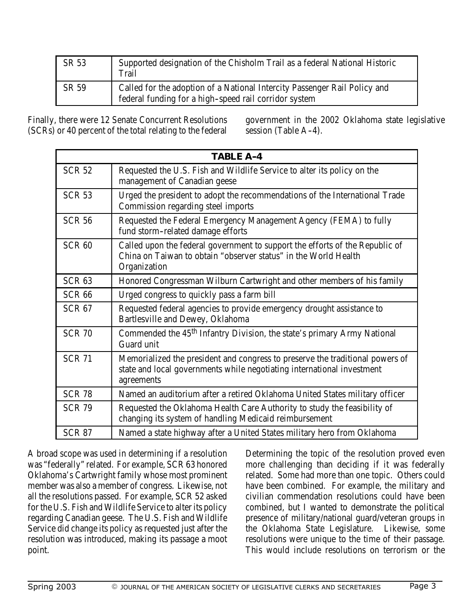| SR 53 | Supported designation of the Chisholm Trail as a federal National Historic<br><b>Trail</b>                                         |
|-------|------------------------------------------------------------------------------------------------------------------------------------|
| SR 59 | Called for the adoption of a National Intercity Passenger Rail Policy and<br>federal funding for a high-speed rail corridor system |

Finally, there were 12 Senate Concurrent Resolutions (SCRs) or 40 percent of the total relating to the federal

government in the 2002 Oklahoma state legislative session (Table A-4).

|                   | <b>TABLE A-4</b>                                                                                                                                                      |
|-------------------|-----------------------------------------------------------------------------------------------------------------------------------------------------------------------|
| <b>SCR 52</b>     | Requested the U.S. Fish and Wildlife Service to alter its policy on the<br>management of Canadian geese                                                               |
| <b>SCR 53</b>     | Urged the president to adopt the recommendations of the International Trade<br><b>Commission regarding steel imports</b>                                              |
| <b>SCR 56</b>     | Requested the Federal Emergency Management Agency (FEMA) to fully<br>fund storm-related damage efforts                                                                |
| SCR <sub>60</sub> | Called upon the federal government to support the efforts of the Republic of<br>China on Taiwan to obtain "observer status" in the World Health<br>Organization       |
| <b>SCR 63</b>     | Honored Congressman Wilburn Cartwright and other members of his family                                                                                                |
| <b>SCR 66</b>     | Urged congress to quickly pass a farm bill                                                                                                                            |
| <b>SCR 67</b>     | Requested federal agencies to provide emergency drought assistance to<br><b>Bartlesville and Dewey, Oklahoma</b>                                                      |
| <b>SCR 70</b>     | Commended the 45 <sup>th</sup> Infantry Division, the state's primary Army National<br><b>Guard unit</b>                                                              |
| <b>SCR 71</b>     | Memorialized the president and congress to preserve the traditional powers of<br>state and local governments while negotiating international investment<br>agreements |
| <b>SCR 78</b>     | Named an auditorium after a retired Oklahoma United States military officer                                                                                           |
| <b>SCR 79</b>     | Requested the Oklahoma Health Care Authority to study the feasibility of<br>changing its system of handling Medicaid reimbursement                                    |
| <b>SCR 87</b>     | Named a state highway after a United States military hero from Oklahoma                                                                                               |

A broad scope was used in determining if a resolution was "federally" related. For example, SCR 63 honored Oklahoma's Cartwright family whose most prominent member was also a member of congress. Likewise, not all the resolutions passed. For example, SCR 52 asked for the U.S. Fish and Wildlife Service to alter its policy regarding Canadian geese. The U.S. Fish and Wildlife Service did change its policy as requested just after the resolution was introduced, making its passage a moot point.

Determining the topic of the resolution proved even more challenging than deciding if it was federally related. Some had more than one topic. Others could have been combined. For example, the military and civilian commendation resolutions could have been combined, but I wanted to demonstrate the political presence of military/national guard/veteran groups in the Oklahoma State Legislature. Likewise, some resolutions were unique to the time of their passage. This would include resolutions on terrorism or the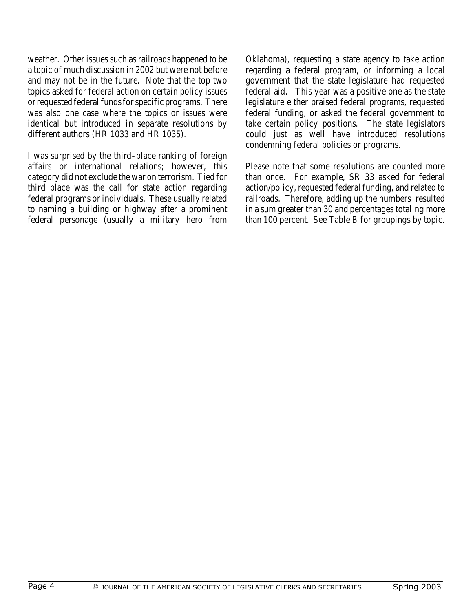weather. Other issues such as railroads happened to be a topic of much discussion in 2002 but were not before and may not be in the future. Note that the top two topics asked for federal action on certain policy issues or requested federal funds for specific programs. There was also one case where the topics or issues were identical but introduced in separate resolutions by different authors (HR 1033 and HR 1035).

I was surprised by the third--place ranking of foreign affairs or international relations; however, this category did not exclude the war on terrorism. Tied for third place was the call for state action regarding federal programs or individuals. These usually related to naming a building or highway after a prominent federal personage (usually a military hero from

Oklahoma), requesting a state agency to take action regarding a federal program, or informing a local government that the state legislature had requested federal aid. This year was a positive one as the state legislature either praised federal programs, requested federal funding, or asked the federal government to take certain policy positions. The state legislators could just as well have introduced resolutions condemning federal policies or programs.

Please note that some resolutions are counted more than once. For example, SR 33 asked for federal action/policy, requested federal funding, and related to railroads. Therefore, adding up the numbers resulted in a sum greater than 30 and percentages totaling more than 100 percent. See Table B for groupings by topic.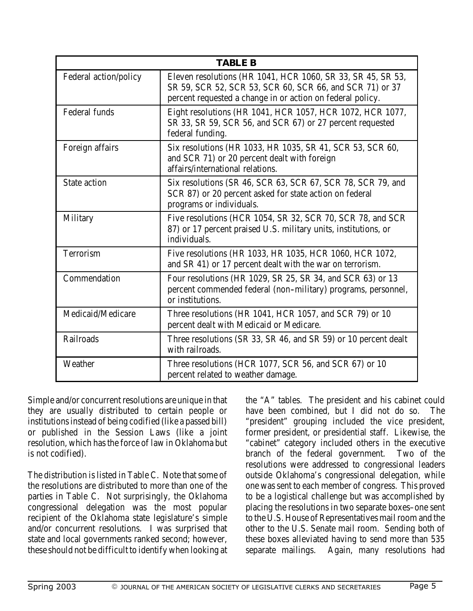| <b>TABLE B</b>               |                                                                                                                                                                                       |  |
|------------------------------|---------------------------------------------------------------------------------------------------------------------------------------------------------------------------------------|--|
| <b>Federal action/policy</b> | Eleven resolutions (HR 1041, HCR 1060, SR 33, SR 45, SR 53,<br>SR 59, SCR 52, SCR 53, SCR 60, SCR 66, and SCR 71) or 37<br>percent requested a change in or action on federal policy. |  |
| <b>Federal funds</b>         | Eight resolutions (HR 1041, HCR 1057, HCR 1072, HCR 1077,<br>SR 33, SR 59, SCR 56, and SCR 67) or 27 percent requested<br>federal funding.                                            |  |
| <b>Foreign affairs</b>       | Six resolutions (HR 1033, HR 1035, SR 41, SCR 53, SCR 60,<br>and SCR 71) or 20 percent dealt with foreign<br>affairs/international relations.                                         |  |
| <b>State action</b>          | Six resolutions (SR 46, SCR 63, SCR 67, SCR 78, SCR 79, and<br>SCR 87) or 20 percent asked for state action on federal<br>programs or individuals.                                    |  |
| <b>Military</b>              | Five resolutions (HCR 1054, SR 32, SCR 70, SCR 78, and SCR<br>87) or 17 percent praised U.S. military units, institutions, or<br>individuals.                                         |  |
| <b>Terrorism</b>             | Five resolutions (HR 1033, HR 1035, HCR 1060, HCR 1072,<br>and SR 41) or 17 percent dealt with the war on terrorism.                                                                  |  |
| <b>Commendation</b>          | Four resolutions (HR 1029, SR 25, SR 34, and SCR 63) or 13<br>percent commended federal (non-military) programs, personnel,<br>or institutions.                                       |  |
| <b>Medicaid/Medicare</b>     | Three resolutions (HR 1041, HCR 1057, and SCR 79) or 10<br>percent dealt with Medicaid or Medicare.                                                                                   |  |
| <b>Railroads</b>             | Three resolutions (SR 33, SR 46, and SR 59) or 10 percent dealt<br>with railroads.                                                                                                    |  |
| Weather                      | Three resolutions (HCR 1077, SCR 56, and SCR 67) or 10<br>percent related to weather damage.                                                                                          |  |

Simple and/or concurrent resolutions are unique in that they are usually distributed to certain people or institutions instead of being codified (like a passed bill) or published in the Session Laws (like a joint resolution, which has the force of law in Oklahoma but is not codified).

The distribution is listed in Table C. Note that some of the resolutions are distributed to more than one of the parties in Table C. Not surprisingly, the Oklahoma congressional delegation was the most popular recipient of the Oklahoma state legislature's simple and/or concurrent resolutions. I was surprised that state and local governments ranked second; however, these should not be difficult to identify when looking at

the "A" tables. The president and his cabinet could have been combined, but I did not do so. The "president" grouping included the vice president, former president, or presidential staff. Likewise, the "cabinet" category included others in the executive branch of the federal government. Two of the resolutions were addressed to congressional leaders outside Oklahoma's congressional delegation, while one was sent to each member of congress. This proved to be a logistical challenge but was accomplished by placing the resolutions in two separate boxes–one sent to the U.S. House of Representatives mail room and the other to the U.S. Senate mail room. Sending both of these boxes alleviated having to send more than 535 separate mailings. Again, many resolutions had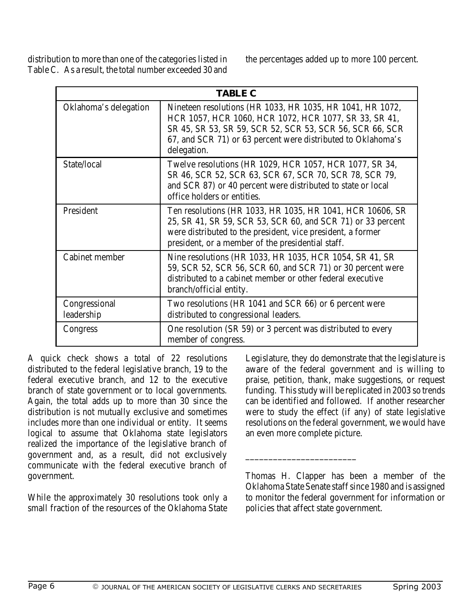distribution to more than one of the categories listed in Table C. As a result, the total number exceeded 30 and the percentages added up to more 100 percent.

| <b>TABLE C</b>              |                                                                                                                                                                                                                                                               |  |  |
|-----------------------------|---------------------------------------------------------------------------------------------------------------------------------------------------------------------------------------------------------------------------------------------------------------|--|--|
| Oklahoma's delegation       | Nineteen resolutions (HR 1033, HR 1035, HR 1041, HR 1072,<br>HCR 1057, HCR 1060, HCR 1072, HCR 1077, SR 33, SR 41,<br>SR 45, SR 53, SR 59, SCR 52, SCR 53, SCR 56, SCR 66, SCR<br>67, and SCR 71) or 63 percent were distributed to Oklahoma's<br>delegation. |  |  |
| State/local                 | Twelve resolutions (HR 1029, HCR 1057, HCR 1077, SR 34,<br>SR 46, SCR 52, SCR 63, SCR 67, SCR 70, SCR 78, SCR 79,<br>and SCR 87) or 40 percent were distributed to state or local<br>office holders or entities.                                              |  |  |
| <b>President</b>            | Ten resolutions (HR 1033, HR 1035, HR 1041, HCR 10606, SR<br>25, SR 41, SR 59, SCR 53, SCR 60, and SCR 71) or 33 percent<br>were distributed to the president, vice president, a former<br>president, or a member of the presidential staff.                  |  |  |
| <b>Cabinet member</b>       | Nine resolutions (HR 1033, HR 1035, HCR 1054, SR 41, SR<br>59, SCR 52, SCR 56, SCR 60, and SCR 71) or 30 percent were<br>distributed to a cabinet member or other federal executive<br>branch/official entity.                                                |  |  |
| Congressional<br>leadership | Two resolutions (HR 1041 and SCR 66) or 6 percent were<br>distributed to congressional leaders.                                                                                                                                                               |  |  |
| <b>Congress</b>             | One resolution (SR 59) or 3 percent was distributed to every<br>member of congress.                                                                                                                                                                           |  |  |

A quick check shows a total of 22 resolutions distributed to the federal legislative branch, 19 to the federal executive branch, and 12 to the executive branch of state government or to local governments. Again, the total adds up to more than 30 since the distribution is not mutually exclusive and sometimes includes more than one individual or entity. It seems logical to assume that Oklahoma state legislators realized the importance of the legislative branch of government and, as a result, did not exclusively communicate with the federal executive branch of government.

While the approximately 30 resolutions took only a small fraction of the resources of the Oklahoma State

Legislature, they do demonstrate that the legislature is aware of the federal government and is willing to praise, petition, thank, make suggestions, or request funding. This study will be replicated in 2003 so trends can be identified and followed. If another researcher were to study the effect (if any) of state legislative resolutions on the federal government, we would have an even more complete picture.

Thomas H. Clapper has been a member of the Oklahoma State Senate staff since 1980 and is assigned to monitor the federal government for information or policies that affect state government.

\_\_\_\_\_\_\_\_\_\_\_\_\_\_\_\_\_\_\_\_\_\_\_\_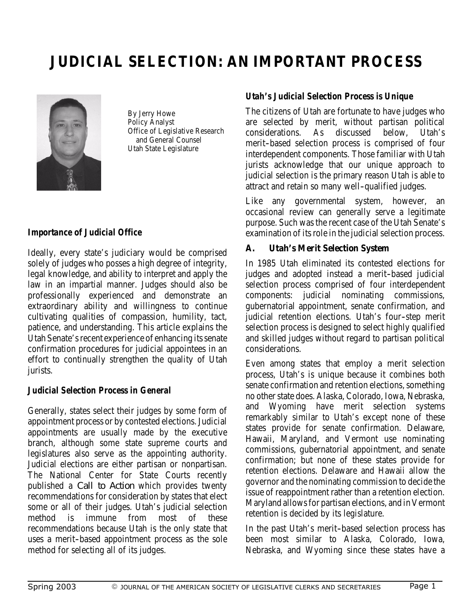# **JUDICIAL SELECTION: AN IMPORTANT PROCESS**



By Jerry Howe Policy Analyst Office of Legislative Research and General Counsel Utah State Legislature

### *Importance of Judicial Office*

Ideally, every state's judiciary would be comprised solely of judges who posses a high degree of integrity, legal knowledge, and ability to interpret and apply the law in an impartial manner. Judges should also be professionally experienced and demonstrate an extraordinary ability and willingness to continue cultivating qualities of compassion, humility, tact, patience, and understanding. This article explains the Utah Senate's recent experience of enhancing its senate confirmation procedures for judicial appointees in an effort to continually strengthen the quality of Utah jurists.

### *Judicial Selection Process in General*

Generally, states select their judges by some form of appointment process or by contested elections. Judicial appointments are usually made by the executive branch, although some state supreme courts and legislatures also serve as the appointing authority. Judicial elections are either partisan or nonpartisan. The National Center for State Courts recently published a *Call to Action* which provides twenty recommendations for consideration by states that elect some or all of their judges. Utah's judicial selection method is immune from most of these recommendations because Utah is the only state that uses a merit-based appointment process as the sole method for selecting all of its judges.

### *Utah's Judicial Selection Process is Unique*

The citizens of Utah are fortunate to have judges who are selected by merit, without partisan political considerations. As discussed below, Utah's merit-based selection process is comprised of four interdependent components. Those familiar with Utah jurists acknowledge that our unique approach to judicial selection is the primary reason Utah is able to attract and retain so many well--qualified judges.

Like any governmental system, however, an occasional review can generally serve a legitimate purpose. Such was the recent case of the Utah Senate's examination of its role in the judicial selection process.

### **A. Utah's Merit Selection System**

In 1985 Utah eliminated its contested elections for judges and adopted instead a merit-based judicial selection process comprised of four interdependent components: judicial nominating commissions, gubernatorial appointment, senate confirmation, and judicial retention elections. Utah's four-step merit selection process is designed to select highly qualified and skilled judges without regard to partisan political considerations.

Even among states that employ a merit selection process, Utah's is unique because it combines both senate confirmation and retention elections, something no other state does. Alaska, Colorado, Iowa, Nebraska, and Wyoming have merit selection systems remarkably similar to Utah's except none of these states provide for senate confirmation. Delaware, Hawaii, Maryland, and Vermont use nominating commissions, gubernatorial appointment, and senate confirmation; but none of these states provide for retention elections. Delaware and Hawaii allow the governor and the nominating commission to decide the issue of reappointment rather than a retention election. Maryland allows for partisan elections, and in Vermont retention is decided by its legislature.

In the past Utah's merit-based selection process has been most similar to Alaska, Colorado, Iowa, Nebraska, and Wyoming since these states have a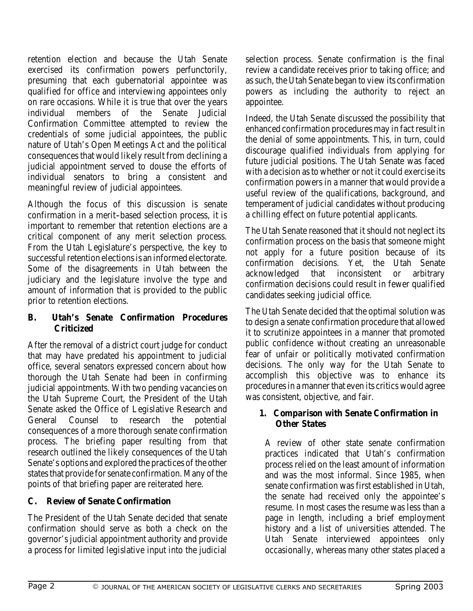retention election and because the Utah Senate exercised its confirmation powers perfunctorily, presuming that each gubernatorial appointee was qualified for office and interviewing appointees only on rare occasions. While it is true that over the years individual members of the Senate Judicial Confirmation Committee attempted to review the credentials of some judicial appointees, the public nature of Utah's Open Meetings Act and the political consequences that would likely result from declining a judicial appointment served to douse the efforts of individual senators to bring a consistent and meaningful review of judicial appointees.

Although the focus of this discussion is senate confirmation in a merit-based selection process, it is important to remember that retention elections are a critical component of any merit selection process. From the Utah Legislature's perspective, the key to successful retention elections is an informed electorate. Some of the disagreements in Utah between the judiciary and the legislature involve the type and amount of information that is provided to the public prior to retention elections.

### **B. Utah's Senate Confirmation Procedures Criticized**

After the removal of a district court judge for conduct that may have predated his appointment to judicial office, several senators expressed concern about how thorough the Utah Senate had been in confirming judicial appointments. With two pending vacancies on the Utah Supreme Court, the President of the Utah Senate asked the Office of Legislative Research and General Counsel to research the potential consequences of a more thorough senate confirmation process. The briefing paper resulting from that research outlined the likely consequences of the Utah Senate's options and explored the practices of the other states that provide for senate confirmation. Many of the points of that briefing paper are reiterated here.

### **C. Review of Senate Confirmation**

The President of the Utah Senate decided that senate confirmation should serve as both a check on the governor's judicial appointment authority and provide a process for limited legislative input into the judicial

selection process. Senate confirmation is the final review a candidate receives prior to taking office; and as such, the Utah Senate began to view its confirmation powers as including the authority to reject an appointee.

Indeed, the Utah Senate discussed the possibility that enhanced confirmation procedures may in fact result in the denial of some appointments. This, in turn, could discourage qualified individuals from applying for future judicial positions. The Utah Senate was faced with a decision as to whether or not it could exercise its confirmation powers in a manner that would provide a useful review of the qualifications, background, and temperament of judicial candidates without producing a chilling effect on future potential applicants.

The Utah Senate reasoned that it should not neglect its confirmation process on the basis that someone might not apply for a future position because of its confirmation decisions. Yet, the Utah Senate acknowledged that inconsistent or arbitrary confirmation decisions could result in fewer qualified candidates seeking judicial office.

The Utah Senate decided that the optimal solution was to design a senate confirmation procedure that allowed it to scrutinize appointees in a manner that promoted public confidence without creating an unreasonable fear of unfair or politically motivated confirmation decisions. The only way for the Utah Senate to accomplish this objective was to enhance its procedures in a manner that even its critics would agree was consistent, objective, and fair.

### **1. Comparison with Senate Confirmation in Other States**

A review of other state senate confirmation practices indicated that Utah's confirmation process relied on the least amount of information and was the most informal. Since 1985, when senate confirmation was first established in Utah, the senate had received only the appointee's resume. In most cases the resume was less than a page in length, including a brief employment history and a list of universities attended. The Utah Senate interviewed appointees only occasionally, whereas many other states placed a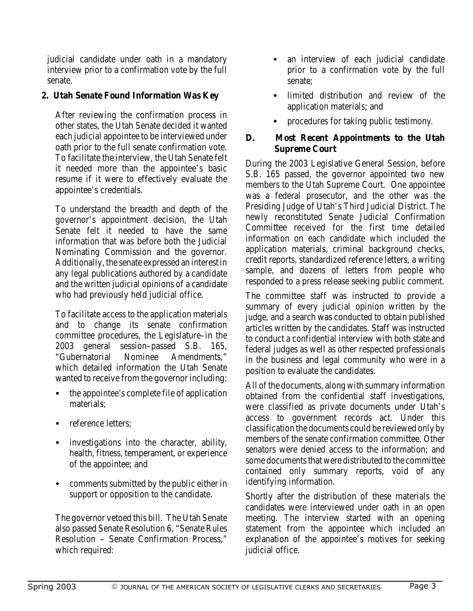judicial candidate under oath in a mandatory interview prior to a confirmation vote by the full senate.

### **2. Utah Senate Found Information Was Key**

After reviewing the confirmation process in other states, the Utah Senate decided it wanted each judicial appointee to be interviewed under oath prior to the full senate confirmation vote. To facilitate the interview, the Utah Senate felt it needed more than the appointee's basic resume if it were to effectively evaluate the appointee's credentials.

To understand the breadth and depth of the governor's appointment decision, the Utah Senate felt it needed to have the same information that was before both the Judicial Nominating Commission and the governor. Additionally, the senate expressed an interest in any legal publications authored by a candidate and the written judicial opinions of a candidate who had previously held judicial office.

To facilitate access to the application materials and to change its senate confirmation committee procedures, the Legislature–in the 2003 general session–passed S.B. 165,<br>"Gubernatorial Nominee Amendments." "Gubernatorial Nominee which detailed information the Utah Senate wanted to receive from the governor including:

- the appointee's complete file of application materials;
- reference letters:
- investigations into the character, ability, health, fitness, temperament, or experience of the appointee; and
- comments submitted by the public either in support or opposition to the candidate.

The governor vetoed this bill. The Utah Senate also passed Senate Resolution 6, "Senate Rules Resolution - Senate Confirmation Process," which required:

- an interview of each judicial candidate prior to a confirmation vote by the full senate;
- limited distribution and review of the application materials; and
- procedures for taking public testimony.

### **D. Most Recent Appointments to the Utah Supreme Court**

During the 2003 Legislative General Session, before S.B. 165 passed, the governor appointed two new members to the Utah Supreme Court. One appointee was a federal prosecutor, and the other was the Presiding Judge of Utah's Third Judicial District. The newly reconstituted Senate Judicial Confirmation Committee received for the first time detailed information on each candidate which included the application materials, criminal background checks, credit reports, standardized reference letters, a writing sample, and dozens of letters from people who responded to a press release seeking public comment.

The committee staff was instructed to provide a summary of every judicial opinion written by the judge, and a search was conducted to obtain published articles written by the candidates. Staff was instructed to conduct a confidential interview with both state and federal judges as well as other respected professionals in the business and legal community who were in a position to evaluate the candidates.

All of the documents, along with summary information obtained from the confidential staff investigations, were classified as private documents under Utah's access to government records act. Under this classification the documents could be reviewed only by members of the senate confirmation committee. Other senators were denied access to the information; and some documents that were distributed to the committee contained only summary reports, void of any identifying information.

Shortly after the distribution of these materials the candidates were interviewed under oath in an open meeting. The interview started with an opening statement from the appointee which included an explanation of the appointee's motives for seeking judicial office.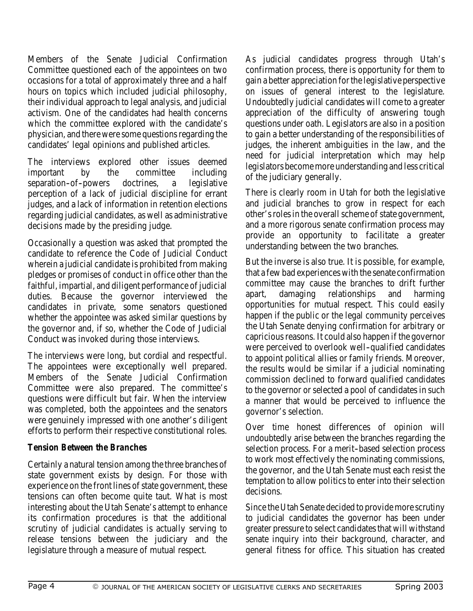Members of the Senate Judicial Confirmation Committee questioned each of the appointees on two occasions for a total of approximately three and a half hours on topics which included judicial philosophy, their individual approach to legal analysis, and judicial activism. One of the candidates had health concerns which the committee explored with the candidate's physician, and there were some questions regarding the candidates' legal opinions and published articles.

The interviews explored other issues deemed important by the committee including separation-of-powers doctrines, a legislative perception of a lack of judicial discipline for errant judges, and a lack of information in retention elections regarding judicial candidates, as well as administrative decisions made by the presiding judge.

Occasionally a question was asked that prompted the candidate to reference the Code of Judicial Conduct wherein a judicial candidate is prohibited from making pledges or promises of conduct in office other than the faithful, impartial, and diligent performance of judicial duties. Because the governor interviewed the candidates in private, some senators questioned whether the appointee was asked similar questions by the governor and, if so, whether the Code of Judicial Conduct was invoked during those interviews.

The interviews were long, but cordial and respectful. The appointees were exceptionally well prepared. Members of the Senate Judicial Confirmation Committee were also prepared. The committee's questions were difficult but fair. When the interview was completed, both the appointees and the senators were genuinely impressed with one another's diligent efforts to perform their respective constitutional roles.

### *Tension Between the Branches*

Certainly a natural tension among the three branches of state government exists by design. For those with experience on the front lines of state government, these tensions can often become quite taut. What is most interesting about the Utah Senate's attempt to enhance its confirmation procedures is that the additional scrutiny of judicial candidates is actually serving to release tensions between the judiciary and the legislature through a measure of mutual respect.

As judicial candidates progress through Utah's confirmation process, there is opportunity for them to gain a better appreciation for the legislative perspective on issues of general interest to the legislature. Undoubtedly judicial candidates will come to a greater appreciation of the difficulty of answering tough questions under oath. Legislators are also in a position to gain a better understanding of the responsibilities of judges, the inherent ambiguities in the law, and the need for judicial interpretation which may help legislators become more understanding and less critical of the judiciary generally.

There is clearly room in Utah for both the legislative and judicial branches to grow in respect for each other's roles in the overall scheme of state government, and a more rigorous senate confirmation process may provide an opportunity to facilitate a greater understanding between the two branches.

But the inverse is also true. It is possible, for example, that a few bad experiences with the senate confirmation committee may cause the branches to drift further apart, damaging relationships and harming opportunities for mutual respect. This could easily happen if the public or the legal community perceives the Utah Senate denying confirmation for arbitrary or capricious reasons. It could also happen if the governor were perceived to overlook well-qualified candidates to appoint political allies or family friends. Moreover, the results would be similar if a judicial nominating commission declined to forward qualified candidates to the governor or selected a pool of candidates in such a manner that would be perceived to influence the governor's selection.

Over time honest differences of opinion will undoubtedly arise between the branches regarding the selection process. For a merit-based selection process to work most effectively the nominating commissions, the governor, and the Utah Senate must each resist the temptation to allow politics to enter into their selection decisions.

Since the Utah Senate decided to provide more scrutiny to judicial candidates the governor has been under greater pressure to select candidates that will withstand senate inquiry into their background, character, and general fitness for office. This situation has created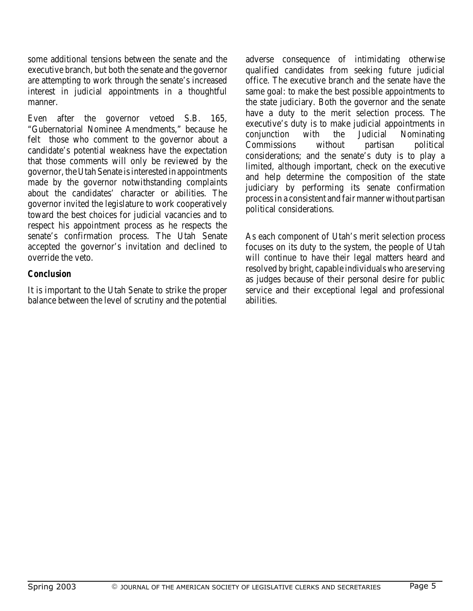some additional tensions between the senate and the executive branch, but both the senate and the governor are attempting to work through the senate's increased interest in judicial appointments in a thoughtful manner.

Even after the governor vetoed S.B. 165, "Gubernatorial Nominee Amendments," because he felt those who comment to the governor about a candidate's potential weakness have the expectation that those comments will only be reviewed by the governor, the Utah Senate is interested in appointments made by the governor notwithstanding complaints about the candidates' character or abilities. The governor invited the legislature to work cooperatively toward the best choices for judicial vacancies and to respect his appointment process as he respects the senate's confirmation process. The Utah Senate accepted the governor's invitation and declined to override the veto.

### *Conclusion*

It is important to the Utah Senate to strike the proper balance between the level of scrutiny and the potential

adverse consequence of intimidating otherwise qualified candidates from seeking future judicial office. The executive branch and the senate have the same goal: to make the best possible appointments to the state judiciary. Both the governor and the senate have a duty to the merit selection process. The executive's duty is to make judicial appointments in conjunction with the Judicial Nominating Commissions without partisan political considerations; and the senate's duty is to play a limited, although important, check on the executive and help determine the composition of the state judiciary by performing its senate confirmation process in a consistent and fair manner without partisan political considerations.

As each component of Utah's merit selection process focuses on its duty to the system, the people of Utah will continue to have their legal matters heard and resolved by bright, capable individuals who are serving as judges because of their personal desire for public service and their exceptional legal and professional abilities.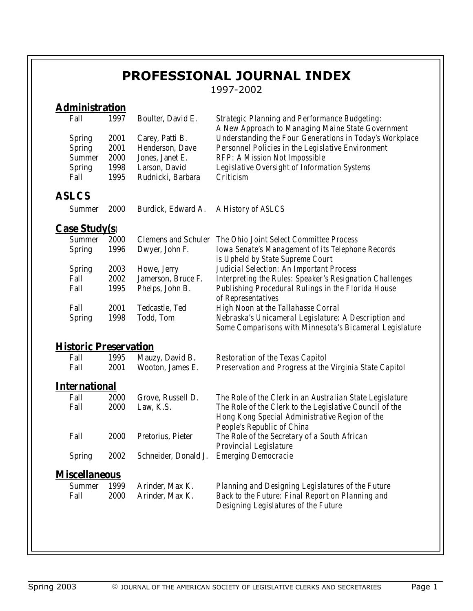# **PROFESSIONAL JOURNAL INDEX**

1997-2002

## **Administration**

| Fall                         | 1997 | <b>Boulter, David E.</b>   | <b>Strategic Planning and Performance Budgeting:</b><br>A New Approach to Managing Maine State Government                                      |
|------------------------------|------|----------------------------|------------------------------------------------------------------------------------------------------------------------------------------------|
| <b>Spring</b>                | 2001 | Carey, Patti B.            | <b>Understanding the Four Generations in Today's Workplace</b>                                                                                 |
| <b>Spring</b>                | 2001 | <b>Henderson, Dave</b>     | <b>Personnel Policies in the Legislative Environment</b>                                                                                       |
| <b>Summer</b>                | 2000 | Jones, Janet E.            | <b>RFP: A Mission Not Impossible</b>                                                                                                           |
| <b>Spring</b>                | 1998 | Larson, David              | <b>Legislative Oversight of Information Systems</b>                                                                                            |
| Fall                         | 1995 | Rudnicki, Barbara          | <b>Criticism</b>                                                                                                                               |
| <u>ASLCS</u>                 |      |                            |                                                                                                                                                |
| <b>Summer</b>                | 2000 | Burdick, Edward A.         | A History of ASLCS                                                                                                                             |
| <b>Case Study(s)</b>         |      |                            |                                                                                                                                                |
| <b>Summer</b>                | 2000 | <b>Clemens and Schuler</b> | <b>The Ohio Joint Select Committee Process</b>                                                                                                 |
| <b>Spring</b>                | 1996 | Dwyer, John F.             | <b>Iowa Senate's Management of its Telephone Records</b>                                                                                       |
|                              |      |                            | is Upheld by State Supreme Court                                                                                                               |
| <b>Spring</b>                | 2003 | Howe, Jerry                | <b>Judicial Selection: An Important Process</b>                                                                                                |
| Fall                         | 2002 | Jamerson, Bruce F.         | <b>Interpreting the Rules: Speaker's Resignation Challenges</b>                                                                                |
| Fall                         | 1995 | Phelps, John B.            | <b>Publishing Procedural Rulings in the Florida House</b><br>of Representatives                                                                |
| Fall                         | 2001 | <b>Tedcastle, Ted</b>      | <b>High Noon at the Tallahasse Corral</b>                                                                                                      |
| <b>Spring</b>                | 1998 | <b>Todd, Tom</b>           | Nebraska's Unicameral Legislature: A Description and<br><b>Some Comparisons with Minnesota's Bicameral Legislature</b>                         |
| <b>Historic Preservation</b> |      |                            |                                                                                                                                                |
| Fall                         | 1995 | Mauzy, David B.            | <b>Restoration of the Texas Capitol</b>                                                                                                        |
| Fall                         | 2001 | Wooton, James E.           | Preservation and Progress at the Virginia State Capitol                                                                                        |
| <b>International</b>         |      |                            |                                                                                                                                                |
| Fall                         | 2000 | Grove, Russell D.          | The Role of the Clerk in an Australian State Legislature                                                                                       |
| Fall                         | 2000 | Law, K.S.                  | The Role of the Clerk to the Legislative Council of the<br>Hong Kong Special Administrative Region of the<br><b>People's Republic of China</b> |
| Fall                         | 2000 | Pretorius, Pieter          | The Role of the Secretary of a South African<br><b>Provincial Legislature</b>                                                                  |
| <b>Spring</b>                | 2002 | Schneider, Donald J.       | <b>Emerging Democracie</b>                                                                                                                     |
| <b>Miscellaneous</b>         |      |                            |                                                                                                                                                |
| <b>Summer</b>                | 1999 | Arinder, Max K.            | <b>Planning and Designing Legislatures of the Future</b>                                                                                       |
| Fall                         | 2000 | Arinder, Max K.            | <b>Back to the Future: Final Report on Planning and</b><br>Designing Legislatures of the Future                                                |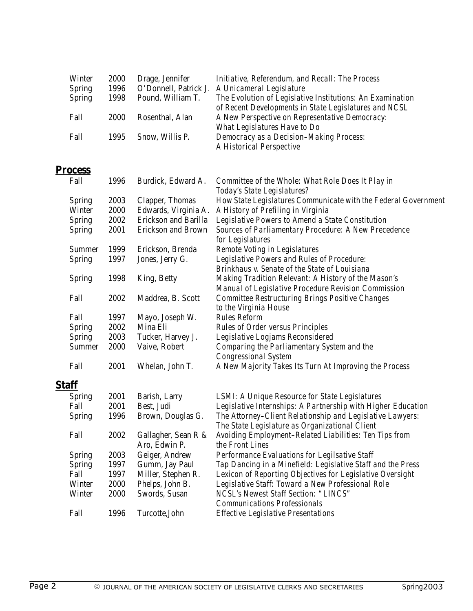| <b>Winter</b> | 2000 | Drage, Jennifer       | <b>Initiative, Referendum, and Recall: The Process</b>    |
|---------------|------|-----------------------|-----------------------------------------------------------|
| <b>Spring</b> | 1996 | O'Donnell, Patrick J. | A Unicameral Legislature                                  |
| <b>Spring</b> | 1998 | Pound, William T.     | The Evolution of Legislative Institutions: An Examination |
|               |      |                       | of Recent Developments in State Legislatures and NCSL     |
| Fall          | 2000 | Rosenthal, Alan       | A New Perspective on Representative Democracy:            |
|               |      |                       | <b>What Legislatures Have to Do</b>                       |
| Fall          | 1995 | Snow, Willis P.       | <b>Democracy as a Decision-Making Process:</b>            |
|               |      |                       | <b>A Historical Perspective</b>                           |

### **Process**

| Fall          | 1996 | Burdick, Edward A.          | <b>Committee of the Whole: What Role Does It Play in</b>       |
|---------------|------|-----------------------------|----------------------------------------------------------------|
|               |      |                             | Today's State Legislatures?                                    |
| <b>Spring</b> | 2003 | <b>Clapper, Thomas</b>      | How State Legislatures Communicate with the Federal Government |
| <b>Winter</b> | 2000 | Edwards, Virginia A.        | A History of Prefiling in Virginia                             |
| <b>Spring</b> | 2002 | <b>Erickson and Barilla</b> | Legislative Powers to Amend a State Constitution               |
| <b>Spring</b> | 2001 | <b>Erickson and Brown</b>   | <b>Sources of Parliamentary Procedure: A New Precedence</b>    |
|               |      |                             | for Legislatures                                               |
| <b>Summer</b> | 1999 | Erickson, Brenda            | <b>Remote Voting in Legislatures</b>                           |
| <b>Spring</b> | 1997 | Jones, Jerry G.             | <b>Legislative Powers and Rules of Procedure:</b>              |
|               |      |                             | <b>Brinkhaus v. Senate of the State of Louisiana</b>           |
| <b>Spring</b> | 1998 | <b>King, Betty</b>          | <b>Making Tradition Relevant: A History of the Mason's</b>     |
|               |      |                             | <b>Manual of Legislative Procedure Revision Commission</b>     |
| Fall          | 2002 | Maddrea, B. Scott           | <b>Committee Restructuring Brings Positive Changes</b>         |
|               |      |                             | to the Virginia House                                          |
| Fall          | 1997 | Mayo, Joseph W.             | <b>Rules Reform</b>                                            |
| <b>Spring</b> | 2002 | <b>Mina Eli</b>             | <b>Rules of Order versus Principles</b>                        |
| <b>Spring</b> | 2003 | Tucker, Harvey J.           | Legislative Logjams Reconsidered                               |
| <b>Summer</b> | 2000 | Vaive, Robert               | <b>Comparing the Parliamentary System and the</b>              |
|               |      |                             | <b>Congressional System</b>                                    |
| Fall          | 2001 | Whelan, John T.             | A New Majority Takes Its Turn At Improving the Process         |
| <b>Staff</b>  |      |                             |                                                                |
| <b>Spring</b> | 2001 | <b>Barish, Larry</b>        | <b>LSMI: A Unique Resource for State Legislatures</b>          |
| Fall          | 2001 | Best, Judi                  | Legislative Internships: A Partnership with Higher Education   |
| <b>Spring</b> | 1996 | Brown, Douglas G.           | The Attorney-Client Relationship and Legislative Lawyers:      |
|               |      |                             | The State Legislature as Organizational Client                 |
| Fall          | 2002 | Gallagher, Sean R &         | <b>Avoiding Employment-Related Liabilities: Ten Tips from</b>  |
|               |      | Aro, Edwin P.               | the Front Lines                                                |
| <b>Spring</b> | 2003 | <b>Geiger, Andrew</b>       | <b>Performance Evaluations for Legilsative Staff</b>           |
| <b>Spring</b> | 1997 | <b>Gumm, Jay Paul</b>       | Tap Dancing in a Minefield: Legislative Staff and the Press    |
| Fall          | 1997 | Miller, Stephen R.          | Lexicon of Reporting Objectives for Legislative Oversight      |
| <b>Winter</b> | 2000 | Phelps, John B.             | Legislative Staff: Toward a New Professional Role              |
| <b>Winter</b> | 2000 | Swords, Susan               | <b>NCSL's Newest Staff Section: "LINCS"</b>                    |
|               |      |                             | <b>Communications Professionals</b>                            |
| Fall          | 1996 | Turcotte, John              | <b>Effective Legislative Presentations</b>                     |
|               |      |                             |                                                                |